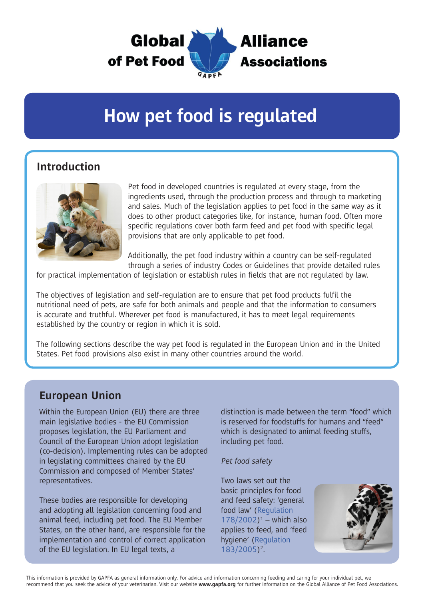

# **How pet food is regulated**

### **Introduction**



Pet food in developed countries is regulated at every stage, from the ingredients used, through the production process and through to marketing and sales. Much of the legislation applies to pet food in the same way as it does to other product categories like, for instance, human food. Often more specific regulations cover both farm feed and pet food with specific legal provisions that are only applicable to pet food.

Additionally, the pet food industry within a country can be self-regulated through a series of industry Codes or Guidelines that provide detailed rules

for practical implementation of legislation or establish rules in fields that are not regulated by law.

The objectives of legislation and self-regulation are to ensure that pet food products fulfil the nutritional need of pets, are safe for both animals and people and that the information to consumers is accurate and truthful. Wherever pet food is manufactured, it has to meet legal requirements established by the country or region in which it is sold.

The following sections describe the way pet food is regulated in the European Union and in the United States. Pet food provisions also exist in many other countries around the world.

#### **European Union**

Within the European Union (EU) there are three main legislative bodies - the EU Commission proposes legislation, the EU Parliament and Council of the European Union adopt legislation (co-decision). Implementing rules can be adopted in legislating committees chaired by the EU Commission and composed of Member States' representatives.

These bodies are responsible for developing and adopting all legislation concerning food and animal feed, including pet food. The EU Member States, on the other hand, are responsible for the implementation and control of correct application of the EU legislation. In EU legal texts, a

distinction is made between the term "food" which is reserved for foodstuffs for humans and "feed" which is designated to animal feeding stuffs, including pet food.

#### Pet food safety

Two laws set out the basic principles for food and feed safety: 'general food law' ([Regulation](http://eur-lex.europa.eu/legal-content/EN/TXT/PDF/?uri=CELEX:02002R0178-20140630&qid=1497530572669&from=EN)   $178/2002$ <sup>1</sup> – which also applies to feed, and 'feed hygiene' ([Regulation](http://eur-lex.europa.eu/legal-content/EN/TXT/PDF/?uri=CELEX:02005R0183-20160423&rid=1)  [183/2005](http://eur-lex.europa.eu/legal-content/EN/TXT/PDF/?uri=CELEX:02005R0183-20160423&rid=1))2.

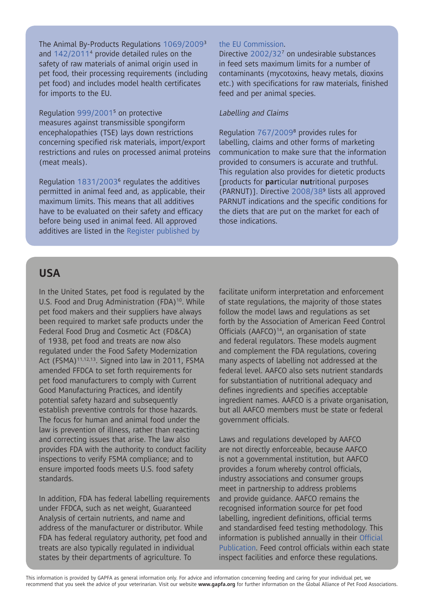The Animal By-Products Regulations [1069/2009](http://eur-lex.europa.eu/legal-content/EN/TXT/PDF/?uri=CELEX:02009R1069-20140101&rid=1)3 and [142/2011](http://eur-lex.europa.eu/legal-content/EN/TXT/PDF/?uri=CELEX:02011R0142-20170529&rid=1)4 provide detailed rules on the safety of raw materials of animal origin used in pet food, their processing requirements (including pet food) and includes model health certificates for imports to the EU.

Regulation [999/2001](http://eur-lex.europa.eu/legal-content/EN/TXT/PDF/?uri=CELEX:02001R0999-20170517&rid=1)5 on protective measures against transmissible spongiform encephalopathies (TSE) lays down restrictions concerning specified risk materials, import/export restrictions and rules on processed animal proteins (meat meals).

Regulation [1831/20036](http://eur-lex.europa.eu/legal-content/EN/TXT/PDF/?uri=CELEX:02003R1831-20151230&rid=1) regulates the additives permitted in animal feed and, as applicable, their maximum limits. This means that all additives have to be evaluated on their safety and efficacy before being used in animal feed. All approved additives are listed in the [Register published by](http://ec.europa.eu/food/food/animalnutrition/feedadditives/registeradditives_en.htm) 

#### [the EU Commission](http://ec.europa.eu/food/food/animalnutrition/feedadditives/registeradditives_en.htm).

Directive [2002/327](http://eur-lex.europa.eu/legal-content/EN/TXT/PDF/?uri=CELEX:02002L0032-20150227&rid=1) on undesirable substances in feed sets maximum limits for a number of contaminants (mycotoxins, heavy metals, dioxins etc.) with specifications for raw materials, finished feed and per animal species.

#### Labelling and Claims

Regulation [767/20098](http://eur-lex.europa.eu/legal-content/EN/TXT/PDF/?uri=CELEX:02009R0767-20100901&rid=4) provides rules for labelling, claims and other forms of marketing communication to make sure that the information provided to consumers is accurate and truthful. This regulation also provides for dietetic products [products for **par**ticular **nut**ritional purposes (PARNUT)]. Directive [2008/38](http://eur-lex.europa.eu/legal-content/EN/TXT/PDF/?uri=CELEX:02008L0038-20141112&rid=1)9 lists all approved PARNUT indications and the specific conditions for the diets that are put on the market for each of those indications.

#### **USA**

In the United States, pet food is regulated by the U.S. Food and Drug Administration (FDA)<sup>10</sup>. While pet food makers and their suppliers have always been required to market safe products under the Federal Food Drug and Cosmetic Act (FD&CA) of 1938, pet food and treats are now also regulated under the Food Safety Modernization Act (FSMA)<sup>11,12,13</sup>. Signed into law in 2011, FSMA amended FFDCA to set forth requirements for pet food manufacturers to comply with Current Good Manufacturing Practices, and identify potential safety hazard and subsequently establish preventive controls for those hazards. The focus for human and animal food under the law is prevention of illness, rather than reacting and correcting issues that arise. The law also provides FDA with the authority to conduct facility inspections to verify FSMA compliance; and to ensure imported foods meets U.S. food safety standards.

In addition, FDA has federal labelling requirements under FFDCA, such as net weight, Guaranteed Analysis of certain nutrients, and name and address of the manufacturer or distributor. While FDA has federal regulatory authority, pet food and treats are also typically regulated in individual states by their departments of agriculture. To

facilitate uniform interpretation and enforcement of state regulations, the majority of those states follow the model laws and regulations as set forth by the Association of American Feed Control Officials (AAFCO) $14$ , an organisation of state and federal regulators. These models augment and complement the FDA regulations, covering many aspects of labelling not addressed at the federal level. AAFCO also sets nutrient standards for substantiation of nutritional adequacy and defines ingredients and specifies acceptable ingredient names. AAFCO is a private organisation, but all AAFCO members must be state or federal government officials.

Laws and regulations developed by AAFCO are not directly enforceable, because AAFCO is not a governmental institution, but AAFCO provides a forum whereby control officials, industry associations and consumer groups meet in partnership to address problems and provide guidance. AAFCO remains the recognised information source for pet food labelling, ingredient definitions, official terms and standardised feed testing methodology. This information is published annually in their [Official](http://www.aafco.org/publications)  [Publication](http://www.aafco.org/publications). Feed control officials within each state inspect facilities and enforce these regulations.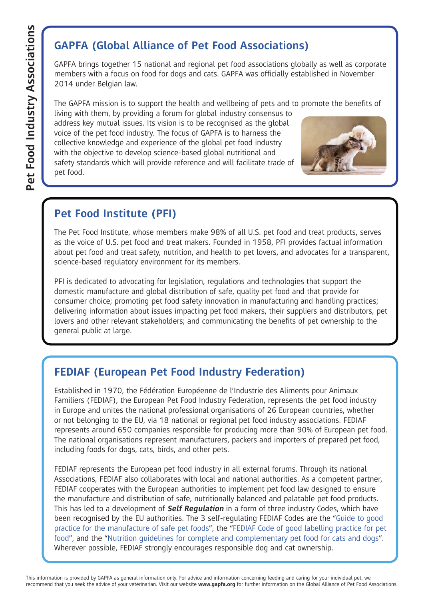# **[GAPFA \(Global Alliance of Pet Food Associations\)](http://www.gapfa.org)**

GAPFA brings together 15 national and regional pet food associations globally as well as corporate members with a focus on food for dogs and cats. GAPFA was officially established in November 2014 under Belgian law.

The GAPFA mission is to support the health and wellbeing of pets and to promote the benefits of

living with them, by providing a forum for global industry consensus to address key mutual issues. Its vision is to be recognised as the global voice of the pet food industry. The focus of GAPFA is to harness the collective knowledge and experience of the global pet food industry with the objective to develop science-based global nutritional and safety standards which will provide reference and will facilitate trade of pet food.



# **[Pet Food Institute \(PFI\)](http://www.petfoodinstitute.org)**

The Pet Food Institute, whose members make 98% of all U.S. pet food and treat products, serves as the voice of U.S. pet food and treat makers. Founded in 1958, PFI provides factual information about pet food and treat safety, nutrition, and health to pet lovers, and advocates for a transparent, science-based regulatory environment for its members.

PFI is dedicated to advocating for legislation, regulations and technologies that support the domestic manufacture and global distribution of safe, quality pet food and that provide for consumer choice; promoting pet food safety innovation in manufacturing and handling practices; delivering information about issues impacting pet food makers, their suppliers and distributors, pet lovers and other relevant stakeholders; and communicating the benefits of pet ownership to the general public at large.

## **[FEDIAF \(European Pet Food Industry Federation\)](http://www.fediaf.org)**

Established in 1970, the Fédération Européenne de l'Industrie des Aliments pour Animaux Familiers (FEDIAF), the European Pet Food Industry Federation, represents the pet food industry in Europe and unites the national professional organisations of 26 European countries, whether or not belonging to the EU, via 18 national or regional pet food industry associations. FEDIAF represents around 650 companies responsible for producing more than 90% of European pet food. The national organisations represent manufacturers, packers and importers of prepared pet food, including foods for dogs, cats, birds, and other pets.

FEDIAF represents the European pet food industry in all external forums. Through its national Associations, FEDIAF also collaborates with local and national authorities. As a competent partner, FEDIAF cooperates with the European authorities to implement pet food law designed to ensure the manufacture and distribution of safe, nutritionally balanced and palatable pet food products. This has led to a development of **Self Regulation** in a form of three industry Codes, which have been recognised by the EU authorities. The 3 self-regulating FEDIAF Codes are the "[Guide to good](http://www.fediaf.org/component/attachments/attachments.html?task=attachment&id=82)  [practice for the manufacture of safe pet foods](http://www.fediaf.org/component/attachments/attachments.html?task=attachment&id=82)", the ["FEDIAF Code of good labelling practice for pet](http://www.fediaf.org/component/attachments/attachments.html?task=attachment&id=79)  [food](http://www.fediaf.org/component/attachments/attachments.html?task=attachment&id=79)", and the ["Nutrition guidelines for complete and complementary pet food for cats and dogs](http://www.fediaf.org/component/attachments/attachments.html?task=attachment&id=77)". Wherever possible, FEDIAF strongly encourages responsible dog and cat ownership.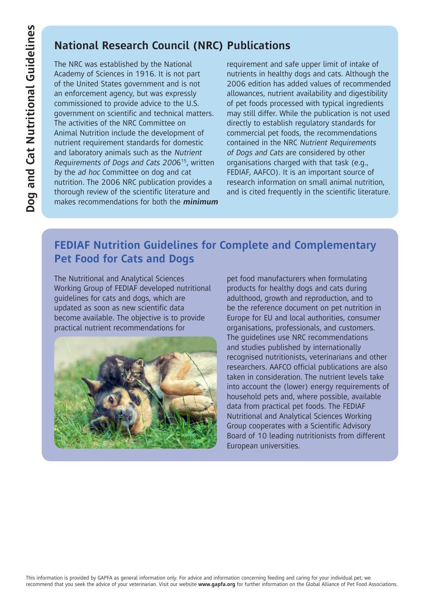## **National Research Council (NRC) Publications**

The NRC was established by the National Academy of Sciences in 1916. It is not part of the United States government and is not an enforcement agency, but was expressly commissioned to provide advice to the U.S. government on scientific and technical matters. The activities of the NRC Committee on Animal Nutrition include the development of nutrient requirement standards for domestic and laboratory animals such as the Nutrient Requirements of Dogs and Cats 200615, written by the ad hoc Committee on dog and cat nutrition. The 2006 NRC publication provides a thorough review of the scientific literature and makes recommendations for both the **minimum** requirement and safe upper limit of intake of nutrients in healthy dogs and cats. Although the 2006 edition has added values of recommended allowances, nutrient availability and digestibility of pet foods processed with typical ingredients may still differ. While the publication is not used directly to establish regulatory standards for commercial pet foods, the recommendations contained in the NRC Nutrient Requirements of Dogs and Cats are considered by other organisations charged with that task (e.g., FEDIAF, AAFCO). It is an important source of research information on small animal nutrition, and is cited frequently in the scientific literature.

## **[FEDIAF Nutrition Guidelines for Complete and Complementary](http://www.fediaf.org/self-regulation/nutrition/)  [Pet Food for Cats and Dogs](http://www.fediaf.org/self-regulation/nutrition/)**

The Nutritional and Analytical Sciences Working Group of FEDIAF developed nutritional guidelines for cats and dogs, which are updated as soon as new scientific data become available. The objective is to provide practical nutrient recommendations for



pet food manufacturers when formulating products for healthy dogs and cats during adulthood, growth and reproduction, and to be the reference document on pet nutrition in Europe for EU and local authorities, consumer organisations, professionals, and customers. The guidelines use NRC recommendations and studies published by internationally recognised nutritionists, veterinarians and other researchers. AAFCO official publications are also taken in consideration. The nutrient levels take into account the (lower) energy requirements of household pets and, where possible, available data from practical pet foods. The FEDIAF Nutritional and Analytical Sciences Working Group cooperates with a Scientific Advisory Board of 10 leading nutritionists from different European universities.